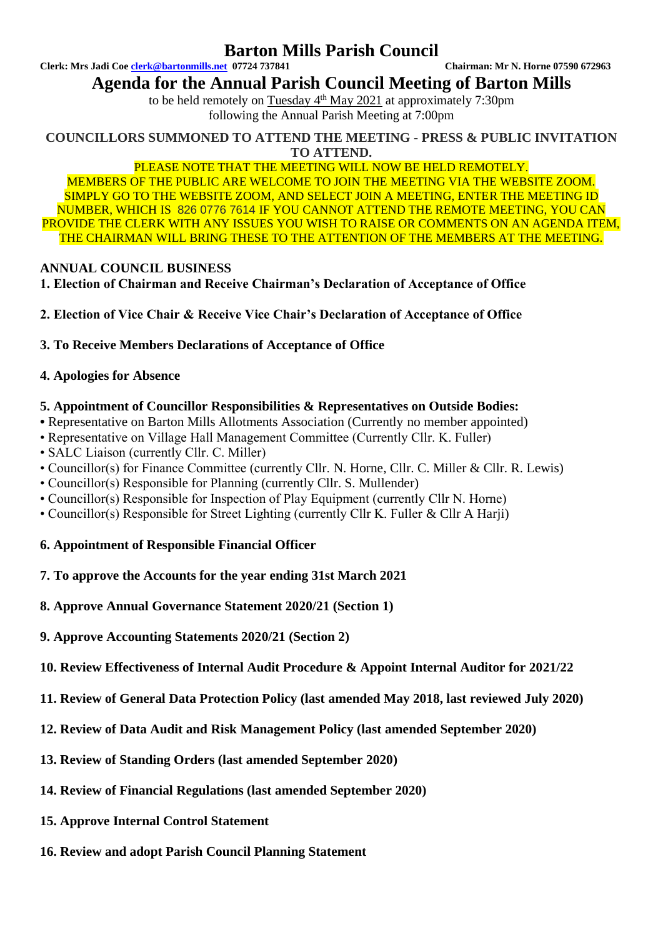## **Barton Mills Parish Council**

**Clerk: Mrs Jadi Coe [clerk@bartonmills.net](mailto:clerk@bartonmills.net) 07724 737841 Chairman: Mr N. Horne 07590 672963**

## **Agenda for the Annual Parish Council Meeting of Barton Mills**

to be held remotely on  $Tuesday$  4<sup>th</sup> May 2021 at approximately 7:30pm following the Annual Parish Meeting at 7:00pm

**COUNCILLORS SUMMONED TO ATTEND THE MEETING - PRESS & PUBLIC INVITATION TO ATTEND.**

### PLEASE NOTE THAT THE MEETING WILL NOW BE HELD REMOTELY.

MEMBERS OF THE PUBLIC ARE WELCOME TO JOIN THE MEETING VIA THE WEBSITE ZOOM. SIMPLY GO TO THE WEBSITE ZOOM, AND SELECT JOIN A MEETING, ENTER THE MEETING ID NUMBER, WHICH IS 826 0776 7614 IF YOU CANNOT ATTEND THE REMOTE MEETING, YOU CAN PROVIDE THE CLERK WITH ANY ISSUES YOU WISH TO RAISE OR COMMENTS ON AN AGENDA ITEM, THE CHAIRMAN WILL BRING THESE TO THE ATTENTION OF THE MEMBERS AT THE MEETING.

## **ANNUAL COUNCIL BUSINESS**

- **1. Election of Chairman and Receive Chairman's Declaration of Acceptance of Office**
- **2. Election of Vice Chair & Receive Vice Chair's Declaration of Acceptance of Office**
- **3. To Receive Members Declarations of Acceptance of Office**

## **4. Apologies for Absence**

## **5. Appointment of Councillor Responsibilities & Representatives on Outside Bodies:**

- Representative on Barton Mills Allotments Association (Currently no member appointed)
- Representative on Village Hall Management Committee (Currently Cllr. K. Fuller)
- SALC Liaison (currently Cllr. C. Miller)
- Councillor(s) for Finance Committee (currently Cllr. N. Horne, Cllr. C. Miller & Cllr. R. Lewis)
- Councillor(s) Responsible for Planning (currently Cllr. S. Mullender)
- Councillor(s) Responsible for Inspection of Play Equipment (currently Cllr N. Horne)
- Councillor(s) Responsible for Street Lighting (currently Cllr K. Fuller & Cllr A Harji)

## **6. Appointment of Responsible Financial Officer**

- **7. To approve the Accounts for the year ending 31st March 2021**
- **8. Approve Annual Governance Statement 2020/21 (Section 1)**
- **9. Approve Accounting Statements 2020/21 (Section 2)**
- **10. Review Effectiveness of Internal Audit Procedure & Appoint Internal Auditor for 2021/22**
- **11. Review of General Data Protection Policy (last amended May 2018, last reviewed July 2020)**
- **12. Review of Data Audit and Risk Management Policy (last amended September 2020)**
- **13. Review of Standing Orders (last amended September 2020)**
- **14. Review of Financial Regulations (last amended September 2020)**
- **15. Approve Internal Control Statement**
- **16. Review and adopt Parish Council Planning Statement**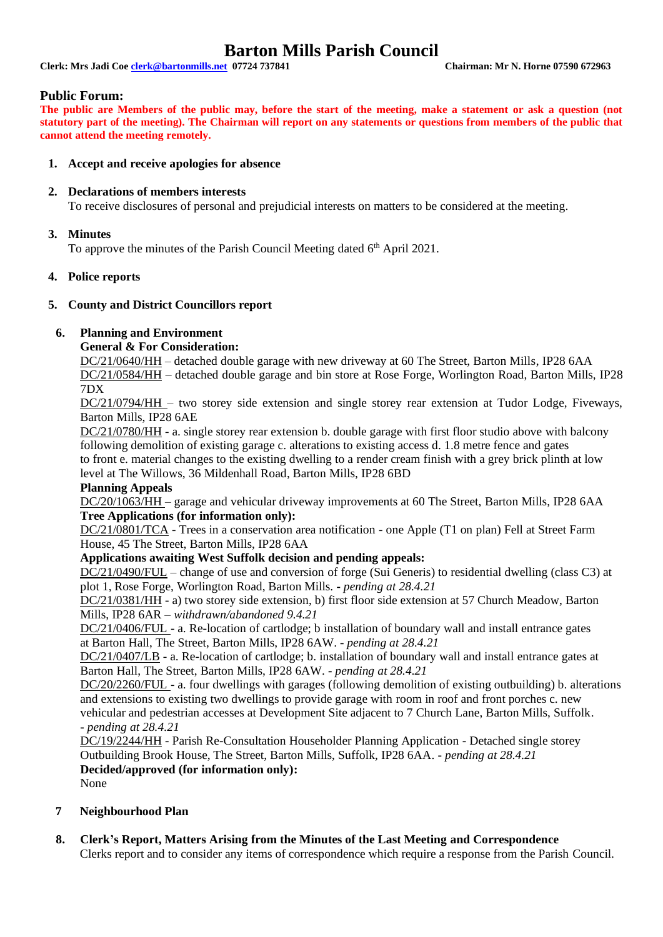## **Barton Mills Parish Council**

**Clerk: Mrs Jadi Coe [clerk@bartonmills.net](mailto:clerk@bartonmills.net) 07724 737841 Chairman: Mr N. Horne 07590 672963**

#### **Public Forum:**

**The public are Members of the public may, before the start of the meeting, make a statement or ask a question (not statutory part of the meeting). The Chairman will report on any statements or questions from members of the public that cannot attend the meeting remotely.**

#### **1. Accept and receive apologies for absence**

#### **2. Declarations of members interests**

To receive disclosures of personal and prejudicial interests on matters to be considered at the meeting.

#### **3. Minutes**

To approve the minutes of the Parish Council Meeting dated 6<sup>th</sup> April 2021.

#### **4. Police reports**

#### **5. County and District Councillors report**

### **6. Planning and Environment**

**General & For Consideration:**

DC/21/0640/HH – detached double garage with new driveway at 60 The Street, Barton Mills, IP28 6AA DC/21/0584/HH – detached double garage and bin store at Rose Forge, Worlington Road, Barton Mills, IP28 7DX

DC/21/0794/HH – two storey side extension and single storey rear extension at Tudor Lodge, Fiveways, Barton Mills, IP28 6AE

DC/21/0780/HH - a. single storey rear extension b. double garage with first floor studio above with balcony following demolition of existing garage c. alterations to existing access d. 1.8 metre fence and gates to front e. material changes to the existing dwelling to a render cream finish with a grey brick plinth at low level at The Willows, 36 Mildenhall Road, Barton Mills, IP28 6BD

#### **Planning Appeals**

DC/20/1063/HH – garage and vehicular driveway improvements at 60 The Street, Barton Mills, IP28 6AA **Tree Applications (for information only):**

DC/21/0801/TCA - Trees in a conservation area notification - one Apple (T1 on plan) Fell at Street Farm House, 45 The Street, Barton Mills, IP28 6AA

#### **Applications awaiting West Suffolk decision and pending appeals:**

DC/21/0490/FUL – change of use and conversion of forge (Sui Generis) to residential dwelling (class C3) at plot 1, Rose Forge, Worlington Road, Barton Mills. **-** *pending at 28.4.21*

DC/21/0381/HH - a) two storey side extension, b) first floor side extension at 57 Church Meadow, Barton Mills, IP28 6AR *– withdrawn/abandoned 9.4.21*

DC/21/0406/FUL - a. Re-location of cartlodge; b installation of boundary wall and install entrance gates at Barton Hall, The Street, Barton Mills, IP28 6AW. **-** *pending at 28.4.21*

DC/21/0407/LB - a. Re-location of cartlodge; b. installation of boundary wall and install entrance gates at Barton Hall, The Street, Barton Mills, IP28 6AW. **-** *pending at 28.4.21*

DC/20/2260/FUL - a. four dwellings with garages (following demolition of existing outbuilding) b. alterations and extensions to existing two dwellings to provide garage with room in roof and front porches c. new vehicular and pedestrian accesses at Development Site adjacent to 7 Church Lane, Barton Mills, Suffolk. **-** *pending at 28.4.21*

DC/19/2244/HH - Parish Re-Consultation Householder Planning Application - Detached single storey Outbuilding Brook House, The Street, Barton Mills, Suffolk, IP28 6AA. **-** *pending at 28.4.21* **Decided/approved (for information only):**

None

#### **7 Neighbourhood Plan**

**8. Clerk's Report, Matters Arising from the Minutes of the Last Meeting and Correspondence** Clerks report and to consider any items of correspondence which require a response from the Parish Council.